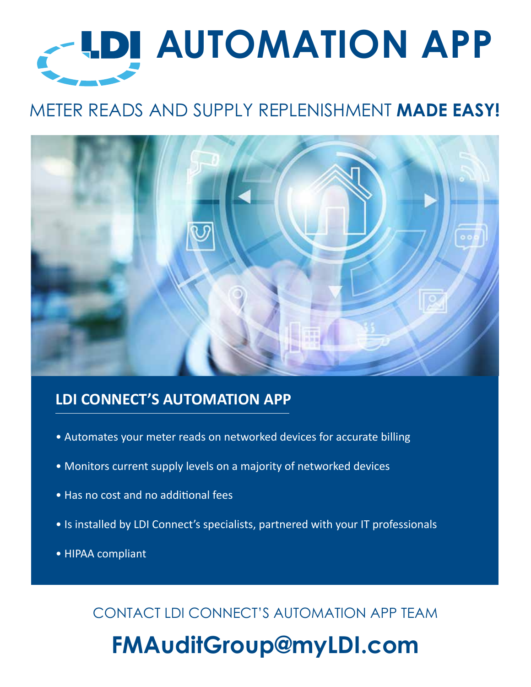# **AUTOMATION APP**

# METER READS AND SUPPLY REPLENISHMENT **MADE EASY!**



# **LDI CONNECT'S AUTOMATION APP**

- Automates your meter reads on networked devices for accurate billing
- Monitors current supply levels on a majority of networked devices
- Has no cost and no additional fees
- Is installed by LDI Connect's specialists, partnered with your IT professionals
- HIPAA compliant

CONTACT LDI CONNECT'S AUTOMATION APP TEAM

# **FMAuditGroup@myLDI.com**